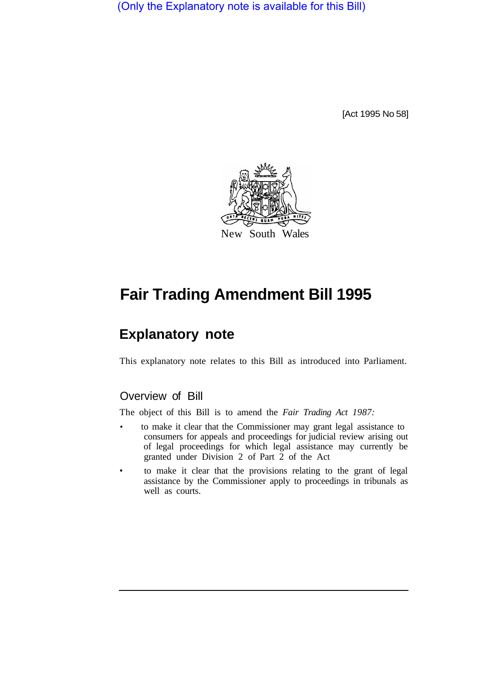(Only the Explanatory note is available for this Bill)

[Act 1995 No 58]



# **Fair Trading Amendment Bill 1995**

## **Explanatory note**

This explanatory note relates to this Bill as introduced into Parliament.

## Overview of Bill

The object of this Bill is to amend the *Fair Trading Act 1987:* 

- to make it clear that the Commissioner may grant legal assistance to consumers for appeals and proceedings for judicial review arising out of legal proceedings for which legal assistance may currently be granted under Division 2 of Part 2 of the Act
- to make it clear that the provisions relating to the grant of legal assistance by the Commissioner apply to proceedings in tribunals as well as courts.